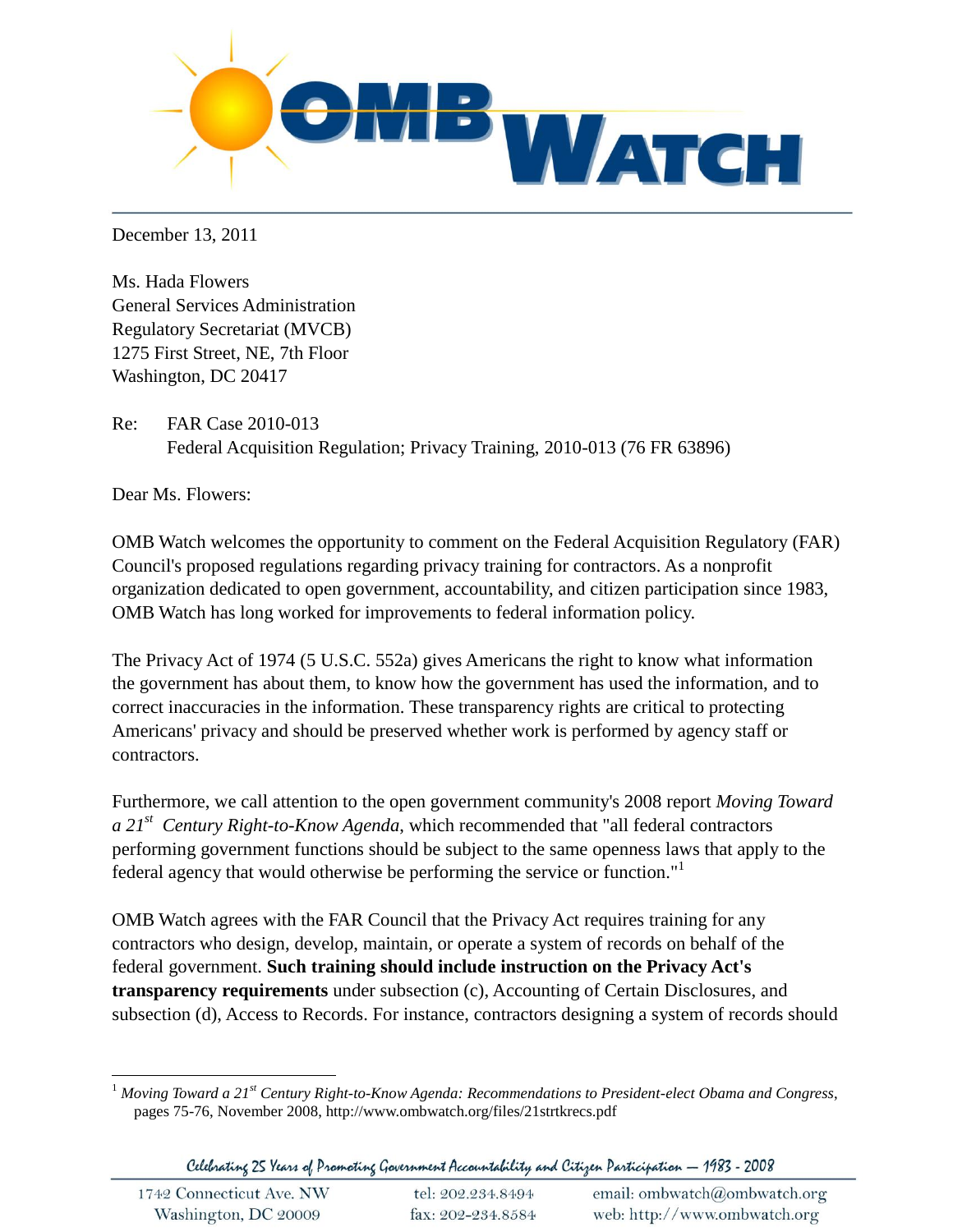

December 13, 2011

Ms. Hada Flowers General Services Administration Regulatory Secretariat (MVCB) 1275 First Street, NE, 7th Floor Washington, DC 20417

Re: FAR Case 2010-013 Federal Acquisition Regulation; Privacy Training, 2010-013 (76 FR 63896)

Dear Ms. Flowers:

 $\overline{a}$ 

OMB Watch welcomes the opportunity to comment on the Federal Acquisition Regulatory (FAR) Council's proposed regulations regarding privacy training for contractors. As a nonprofit organization dedicated to open government, accountability, and citizen participation since 1983, OMB Watch has long worked for improvements to federal information policy.

The Privacy Act of 1974 (5 U.S.C. 552a) gives Americans the right to know what information the government has about them, to know how the government has used the information, and to correct inaccuracies in the information. These transparency rights are critical to protecting Americans' privacy and should be preserved whether work is performed by agency staff or contractors.

Furthermore, we call attention to the open government community's 2008 report *Moving Toward a 21st Century Right-to-Know Agenda*, which recommended that "all federal contractors performing government functions should be subject to the same openness laws that apply to the federal agency that would otherwise be performing the service or function."<sup>1</sup>

OMB Watch agrees with the FAR Council that the Privacy Act requires training for any contractors who design, develop, maintain, or operate a system of records on behalf of the federal government. **Such training should include instruction on the Privacy Act's transparency requirements** under subsection (c), Accounting of Certain Disclosures, and subsection (d), Access to Records. For instance, contractors designing a system of records should

Celebrating 25 Years of Promoting Government Accountability and Citizen Participation - 1983 - 2008

<sup>1</sup> *Moving Toward a 21st Century Right-to-Know Agenda: Recommendations to President-elect Obama and Congress*, pages 75-76, November 2008, http://www.ombwatch.org/files/21strtkrecs.pdf